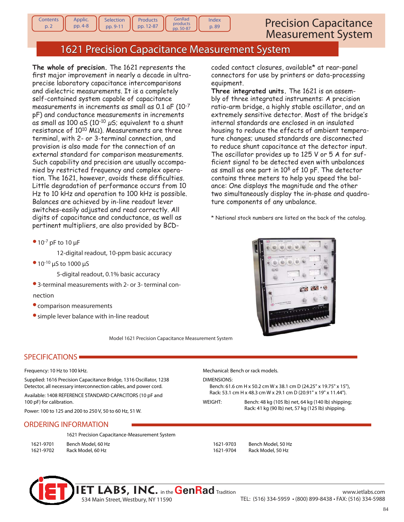# 1621 Precision Capacitance Measurement System

GenRad products pp. 50-87

Index p. 89

**The whole of precision.** The 1621 represents the first major improvement in nearly a decade in ultraprecise laboratory capacitance intercomparisons and dielectric measurements. It is a completely self-contained system capable of capacitance measurements in increments as small as 0.1 aF (10-7 pF) and conductance measurements in increments as small as 100 aS  $(10^{-10} \mu s)$ ; equivalent to a shunt resistance of  $10^{10}$  M $\Omega$ ). Measurements are three terminal, with 2- or 3-terminal connection, and provision is also made for the connection of an external standard for comparison measurements. Such capability and precision are usually accompanied by restricted frequency and complex operation. The 1621, however, avoids these difficulties. Little degradation of performance occurs from 10 Hz to 10 kHz and operation to 100 kHz is possible. Balances are achieved by in-line readout lever switches-easily adjusted and read correctly. All digits of capacitance and conductance, as well as pertinent multipliers, are also provided by BCD-

Selection pp. 9-11

Products pp. 12-87

 $• 10^{-7}$  pF to 10  $\mu$ F

**Contents** p. 2

Applic. pp. 4-8

12-digital readout, 10-ppm basic accuracy

10-10 μS to 1000 μS

5-digital readout, 0.1% basic accuracy

- 3-terminal measurements with 2- or 3- terminal connection
- comparison measurements
- simple lever balance with in-line readout

Model 1621 Precision Capacitance Measurement System

## SPECIFICATIONS

#### Frequency: 10 Hz to 100 kHz.

Supplied: 1616 Precision Capacitance Bridge, 1316 Oscillator, 1238 Detector, all necessary interconnection cables, and power cord.

Available: 1408 REFERENCE STANDARD CAPACITORS (10 pF and 100 pF) for calibration.

Power: 100 to 125 and 200 to 250 V, 50 to 60 Hz, 51 W.

### ORDERING INFORMATION

|           | 1621 Precision Capacitance-Measurement System |  |  |  |
|-----------|-----------------------------------------------|--|--|--|
| 1621-9701 | Bench Model, 60 Hz                            |  |  |  |
| 1621-9702 | Rack Model, 60 Hz                             |  |  |  |

coded contact closures, available\* at rear-panel connectors for use by printers or data-processing equipment.

**Three integrated units.** The 1621 is an assembly of three integrated instruments: A precision ratio-arm bridge, a highly stable oscillator, and an extremely sensitive detector. Most of the bridge's internal standards are enclosed in an insulated housing to reduce the effects of ambient temperature changes; unused standards are disconnected to reduce shunt capacitance at the detector input. The oscillator provides up to 125 V or 5 A for sufficient signal to be detected even with unbalances as small as one part in 10<sup>8</sup> of 10 pF. The detector contains three meters to help you speed the balance: One displays the magnitude and the other two simultaneously display the in-phase and quadrature components of any unbalance.

\* National stock numbers are listed on the back of the catalog.



Mechanical: Bench or rack models.

DIMENSIONS:

 Bench: 61.6 cm H x 50.2 cm W x 38.1 cm D (24.25" x 19.75" x 15"), Rack: 53.1 cm H x 48.3 cm W x 29.1 cm D (20.91" x 19" x 11.44").

WEIGHT: Bench: 48 kg (105 lb) net, 64 kg (140 lb) shipping; Rack: 41 kg (90 lb) net, 57 kg (125 lb) shipping.

1621-9703 Bench Model, 50 Hz

1621-9704 Rack Model, 50 Hz

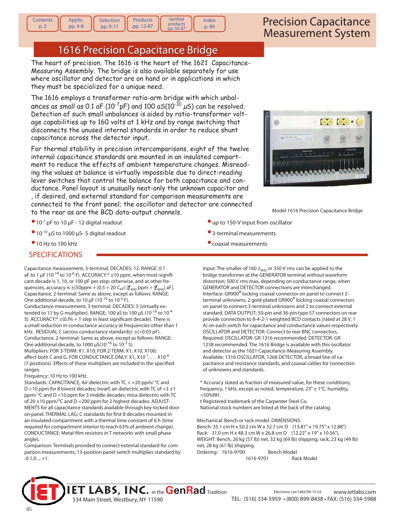# 1616 Precision Capacitance Bridge

Products pp. 12-87 GenRad products pp. 50-87

Index p. 89

The heart of precision. The 1616 is the heart of the 1621 Capacitance-Measuring Assembly. The bridge is also available separately for use where oscillator and detector are on hand or in applications in which they must be specialized for a unique need.

The 1616 employs a transformer ratio-arm bridge with which unbalances as small as 0.1 aF (10<sup>-7</sup>pF) and 100 aS(10<sup>-10</sup>  $\mu$ S) can be resolved. Detection of such small unbalances is aided by ratio-transformer voltage capabilities up to 160 volts at 1 kHz and by range switching that disconnects the unused internal standards in order to reduce shunt capacitance across the detector input.

For thermal stability in precision intercomparisons, eight of the twelve internal capacitance standards are mounted in an insulated compartment to reduce the effects of ambient temperature changes. Misreading the values at balance is virtually impossible due to direct-reading lever switches that control the balance for both capacitance and conductance. Panel layout is unusually neat-only the unknown capacitor and

, if desired, and external standard for comparison measurements are connected to the front panel; the oscillator and detector are connected to the rear as are the BCD data-output channels. Model 1616 Precision Capacitance Bridge

- $\bullet$  10<sup>-7</sup> pF to 10  $\mu$ F 12 digital readout
- $\bullet$  10<sup>-10</sup> μS to 1000 μS-5 digital readout
- <sup>•</sup> 10 Hz to 100 kHz

**Contents** p. 2

Applic. pp. 4-8 Selection pp. 9-11

### SPECIFICATIONS

Capacitance measurement, 3-terminal; DECADES: 12. RANGE: 0.1 aF to 1  $\mu$ F (10<sup>-19</sup> to 10<sup>-6</sup> F). ACCURACY:\*  $\pm$ 10 ppm, when most-significant decade is 1, 10, or 100 pF per step; otherwise, and at other frequencies, accuracy is  $\pm$ [50ppm + (0.5 + 20 C<sub>µF</sub>) ( $f_{\text{kHz}}$  ppm + ( $f_{\text{kHz}}$ ) aF]. Capacitance, 2-terminal: Same as above, except as follows. RANGE: One additional decade, to 10  $\mu$ F (10<sup>-19</sup> to 10<sup>-5</sup> F).

Conductance measurement, 3-terminal: DECADES: 5 (virtually extended to 11 by G multiplier). RANGE; 100 aS to 100  $\mu$ S (10<sup>-16</sup> to 10<sup>-4</sup> S). ACCURACY: $*$   $\pm$ (0.l% + 1 step in least significant decade). There is a small reduction in conductance accuracy at frequencies other than 1 kHz. RESIDUAL C (across conductance standards): ±(<0.03 pF). Conductance, 2-terminal: Same as above, except as follows: RANGE: One additional decade, to 1000  $\mu$ S(10<sup>-16</sup> to 10<sup>-3</sup> S).

Multipliers: FOR 3-TERM: X1. X10; FOR 2-TERM: X1, X10, X100; affect both C and G. FOR CONDUCTANCE ONLY:  $X1, X10^{-1}, \ldots X10^{-6}$ (7 positions). Effects of these multipliers are included in the specified ranges.

Frequency: 10 Hz to 100 kHz.

Standards: CAPACITANCE; Air dielectric with TC < +20 ppm/ °C and D <10 ppm for 8 lowest decades; Invarf, air dielectric with TC of  $+3 \pm 1$ ppm/ °C and D <10 ppm for 3 middle decades; mica dielectric with TC of 20 ±10 ppm/°C and D <200 ppm for 2 highest decades. ADJUST-MENTS for all capacitance standards available through key-locked door on panel. THERMAL LAG: C standards for first 8 decades mounted in an insulated compartment with a thermal time constant of 6 h (time required for compartment interior to reach 63% of ambient change). CONDUCTANCE: Metal-film resistors in T networks with small phase angles.

Comparison: Terminals provided to connect external standard for comparison measurements; 13-position panel switch multiplies standard by  $-0.1.0...+1.$ 



- up to 150-V input from oscillator
- 3-terminal measurements
- coaxial measurements

Input: The smaller of 160  $f_{\text{kHz}}$  or 350 V rms can be applied to the bridge transformer at the GENERATOR terminal without waveform distortion; 500 V rms max, depending on conductance range, when GENERATOR and DETECTOR connections are interchanged. Interface: GR900® locking coaxial connector on panel to connect 2 terminal unknowns, 2 gold-plated GR900® locking coaxial connectors on panel to connect 3-terminal unknowns and 2 to connect external standard. DATA OUTPUT; 50-pin and 36-pin type 57 connectors on rear provide connection to 8-4-2-1 weighted BCD contacts (rated at 28 V, 1 A) on each switch for capacitance and conductance values respectively. OSCILLATOR and DETECTOR: Connect to rear BNC connectors. Required: OSCILLATOR: GR 1316 recommended. DETECTOR: GR 1238 recommended. The 1616 Bridge is available with this oscillator and detector as the 1621 Capacitance-Measuring Assembly. Available: 1316 OSCILLATOR, 1268 DETECTOR, a broad line of capacitance and resistance standards, and coaxial cables for connection of unknowns and standards.

 \* Accuracy stated as fraction of measured value, for these conditions; frequency, 1 kHz, except as noted, temperature,  $23^{\circ} \pm 1^{\circ}$ C; humidity, <50%RH.

 t Registered trademark of the Carpenter Steel Co. National stock numbers are listed at the back of the catalog.

Mechanical: Bench or rack model. DIMENSIONS: Bench: 35.1 cm H x 50.2 cm W x 32.7 cm D (13.81" x 19.75" x 12.88") Rack: 31.0 cm H x 48.3 cm W x 26.8 cm D (12.22" x 19" x 10.56"). WEIGHT: Bench, 26 kg (57 lb) net, 32 kg (69 lb) shipping; rack, 23 kg (49 lb) net, 28 kg (61 lb) shipping. Ordering: 1616-9700 Bench Model

1616-9701 Rack Model

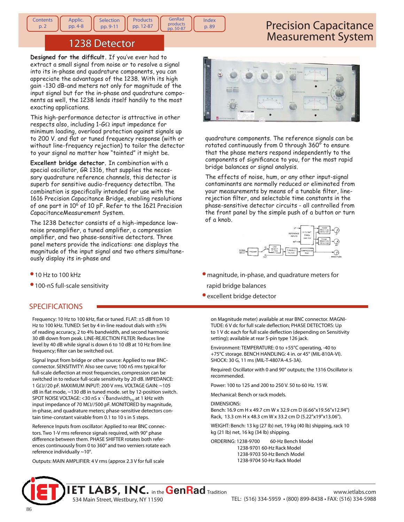#### **Contents** p. 2 Applic. pp. 4-8 Selection pp. 9-11 **Products** pp. 12-87 GenRad products pp. 50-87 Index p. 89

## Precision Capacitance Measurement System

## 1238 Detector

Designed for the difficult. If you've ever had to extract a small signal from noise or to resolve a signal into its in-phase and quadrature components, you can appreciate the advantages of the 1238. With its high gain -130 dB-and meters not only for magnitude of the input signal but for the in-phase and quadrature components as well, the 1238 lends itself handily to the most exacting applications.

This high-performance detector is attractive in other respects also, including 1-G $\Omega$  input impedance for minimum loading, overload protection against signals up to 200 V. and flat or tuned frequency response (with or without line-frequency rejection) to tailor the detector to your signal no matter how "tainted" it might be.

**Excellent bridge detector.** In combination with a special oscillator, GR 1316, that supplies the necessary quadrature reference channels, this detector is superb for sensitive audio-frequency detectlbn. The combination is specifically intended for use with the 1616 Precision Capacitance Bridge, enabling resolutions of one part in 10<sup>6</sup> of 10 pF. Refer to the 1621 Precision CapacitanceMeasurement System.

The 1238 Detector consists of a high-impedance lownoise preamplifier, a tuned amplifier, a compression amplifier, and two phase-sensitive detectors. Three panel meters provide the indications: one displays the magnitude of the input signal and two others simultaneously display its in-phase and

- 10 Hz to 100 kHz
- 100-nS full-scale sensitivity

## SPECIFICATIONS

Frequency: 10 Hz to 100 kHz, flat or tuned. FLAT: ±5 dB from 10 Hz to 100 kHz. TUNED: Set by 4 in-line readout dials with ±5% of reading accuracy, 2 to 4% bandwidth, and second harmonic 30 dB down from peak. LINE-REJECTION FILTER: Reduces line level by 40 dB while signal is down 6 to 10 dB at 10 Hz from line frequency; filter can be switched out.

Signal Input from bridge or other source: Applied to rear BNCconnector. SENSITIVITY: Also see curve; 100 nS rms typical for full-scale deflection at most frequencies, compression can be switched in to reduce full-scale sensitivity by 20 dB. IMPEDANCE: 1 GΩ//20 pF. MAXIMUM INPUT: 200 V rms. VOLTAGE GAIN: ~105  $dB$  in flat mode,  $\sim$ 130 dB in tuned mode. set by 12-position switch.  $\frac{1}{2}$ SPOT NOISE VOLTAGE: <30 nS x  $\sqrt{6}$  andwidth<sub>Hz</sub> at 1 kHz with input impedance of 70 MΩ//500 pF. MONITORED by magnitude, in-phase, and quadrature meters; phase-sensitive detectors contain time-constant vairable from 0.1 to 10 s in 5 steps.

Reference Inputs from oscillator: Applied to rear BNC connectors. Two 1-V rms reference signals required, with 90° phase difference between them. PHASE SHIFTER rotates both references continuously from 0 to 360° and two verniers rotate each reference individually ~10°.

Outputs: MAIN AMPLIFIER: 4 V rms (approx 2.3 V for full scale



quadrature components. The reference signals can be rotated continuously from 0 through 360° to ensure that the phase meters respond independently to the components of significance to you, for the most rapid bridge balances or signal analysis.

The effects of noise, hum, or any other input-signal contaminants are normally reduced or eliminated from your measurements by means of a tunable filter, linerejection filter, and selectable time constants in the phase-sensitive detector circuits - all controlled from the front panel by the simple push of a button or turn of a knob.



- magnitude, in-phase, and quadrature meters for rapid bridge balances
- excellent bridge detector

on Magnitude meter) available at rear BNC connector. MAGNI-TUDE: 6 V dc for full scale deflection; PHASE DETECTORS: Up to 1 V dc each for full scale deflection (depending on Sensitivity setting); available at rear 5-pin type 126 jack.

Environment: TEMPERATURE: 0 to +55°C operating, -40 to +75°C storage. BENCH HANDLING: 4 in. or 45° (MIL-810A-VI). SHOCK: 30 G, 11 ms (MIL-T-4807A-4.5-3A).

Required: Oscillator with 0 and 90° outputs; the 1316 Oscillator is recommended.

Power: 100 to 125 and 200 to 250 V. 50 to 60 Hz. 15 W.

Mechanical: Bench or rack models.

DIMENSIONS:

Bench: 16.9 cm H x 49.7 cm W x 32.9 cm D (6.66"x19.56"x12.94") Rack, 13.3 cm H x 48.3 cm W x 33.2 cm D (5.22"x19"x13.06").

WEIGHT: Bench: 13 kg (27 Ib) net, 19 kg (40 lb) shipping, rack 10 kg (21 lb) net, 16 kg (34 lb) shipping.

ORDERING: 1238-9700 60-Hz Bench Model 1238-9701 60-Hz Rack Model 1238-9703 50-Hz Bench Model 1238-9704 50-Hz Rack Model